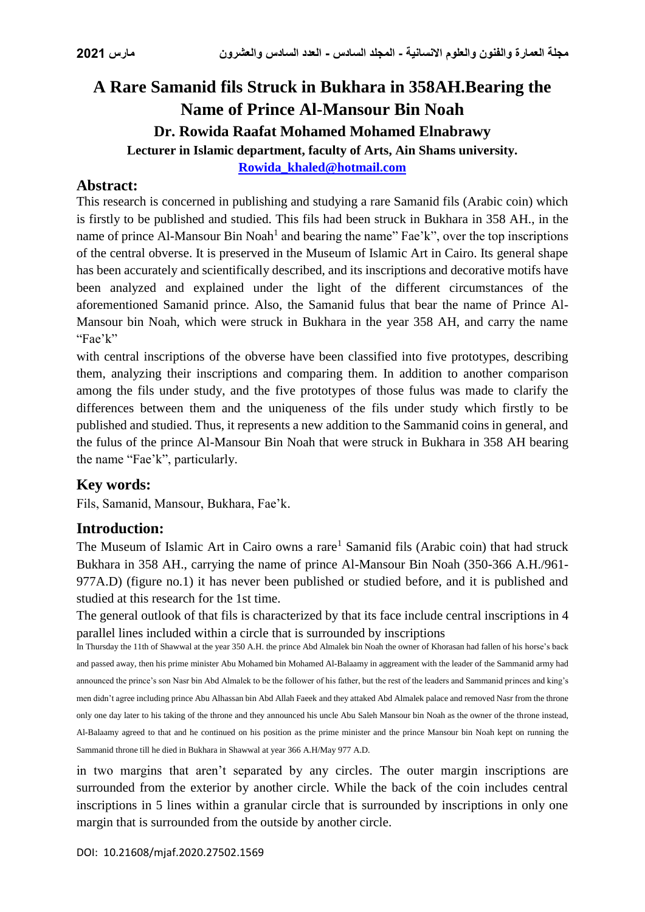# **A Rare Samanid fils Struck in Bukhara in 358AH.Bearing the Name of Prince Al-Mansour Bin Noah Dr. Rowida Raafat Mohamed Mohamed Elnabrawy Lecturer in Islamic department, faculty of Arts, Ain Shams university. [Rowida\\_khaled@hotmail.com](mailto:Rowida_khaled@hotmail.com)**

### **Abstract:**

This research is concerned in publishing and studying a rare Samanid fils (Arabic coin) which is firstly to be published and studied. This fils had been struck in Bukhara in 358 AH., in the name of prince Al-Mansour Bin Noah<sup>1</sup> and bearing the name" Fae'k", over the top inscriptions of the central obverse. It is preserved in the Museum of Islamic Art in Cairo. Its general shape has been accurately and scientifically described, and its inscriptions and decorative motifs have been analyzed and explained under the light of the different circumstances of the aforementioned Samanid prince. Also, the Samanid fulus that bear the name of Prince Al-Mansour bin Noah, which were struck in Bukhara in the year 358 AH, and carry the name "Fae'k"

with central inscriptions of the obverse have been classified into five prototypes, describing them, analyzing their inscriptions and comparing them. In addition to another comparison among the fils under study, and the five prototypes of those fulus was made to clarify the differences between them and the uniqueness of the fils under study which firstly to be published and studied. Thus, it represents a new addition to the Sammanid coins in general, and the fulus of the prince Al-Mansour Bin Noah that were struck in Bukhara in 358 AH bearing the name "Fae'k", particularly.

### **Key words:**

Fils, Samanid, Mansour, Bukhara, Fae'k.

### **Introduction:**

The Museum of Islamic Art in Cairo owns a rare<sup>1</sup> Samanid fils (Arabic coin) that had struck Bukhara in 358 AH., carrying the name of prince Al-Mansour Bin Noah (350-366 A.H./961- 977A.D) (figure no.1) it has never been published or studied before, and it is published and studied at this research for the 1st time.

The general outlook of that fils is characterized by that its face include central inscriptions in 4 parallel lines included within a circle that is surrounded by inscriptions

In Thursday the 11th of Shawwal at the year 350 A.H. the prince Abd Almalek bin Noah the owner of Khorasan had fallen of his horse's back and passed away, then his prime minister Abu Mohamed bin Mohamed Al-Balaamy in aggreament with the leader of the Sammanid army had announced the prince's son Nasr bin Abd Almalek to be the follower of his father, but the rest of the leaders and Sammanid princes and king's men didn't agree including prince Abu Alhassan bin Abd Allah Faeek and they attaked Abd Almalek palace and removed Nasr from the throne only one day later to his taking of the throne and they announced his uncle Abu Saleh Mansour bin Noah as the owner of the throne instead, Al-Balaamy agreed to that and he continued on his position as the prime minister and the prince Mansour bin Noah kept on running the Sammanid throne till he died in Bukhara in Shawwal at year 366 A.H/May 977 A.D.

in two margins that aren't separated by any circles. The outer margin inscriptions are surrounded from the exterior by another circle. While the back of the coin includes central inscriptions in 5 lines within a granular circle that is surrounded by inscriptions in only one margin that is surrounded from the outside by another circle.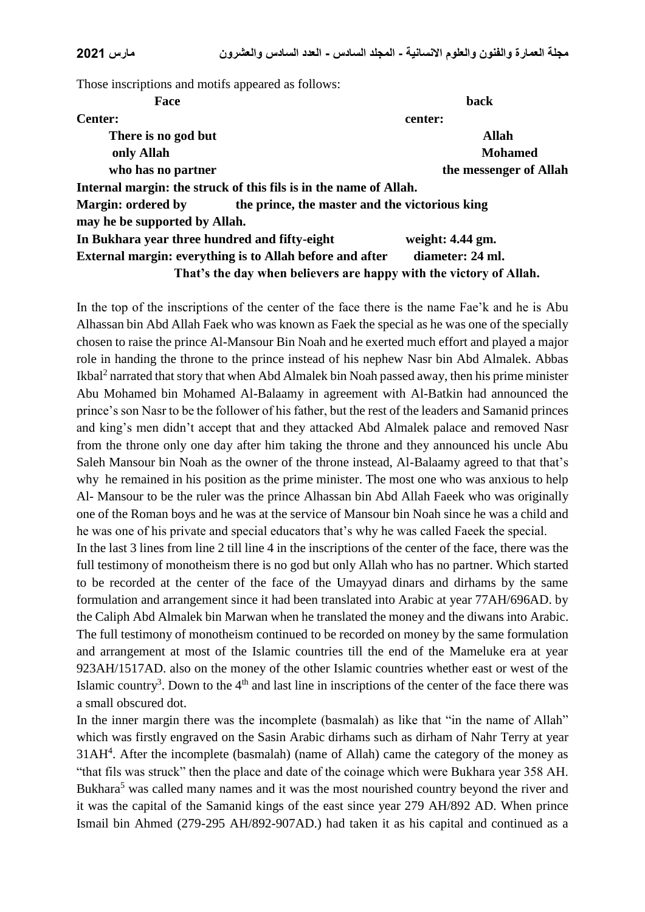Those inscriptions and motifs appeared as follows:

| Face                                                              | back                                                               |
|-------------------------------------------------------------------|--------------------------------------------------------------------|
| <b>Center:</b>                                                    | center:                                                            |
| There is no god but                                               | <b>Allah</b>                                                       |
| only Allah                                                        | <b>Mohamed</b>                                                     |
| who has no partner                                                | the messenger of Allah                                             |
| Internal margin: the struck of this fils is in the name of Allah. |                                                                    |
| <b>Margin: ordered by</b>                                         | the prince, the master and the victorious king                     |
| may he be supported by Allah.                                     |                                                                    |
| In Bukhara year three hundred and fifty-eight                     | weight: $4.44$ gm.                                                 |
| External margin: everything is to Allah before and after          | diameter: 24 ml.                                                   |
|                                                                   | That's the day when believers are happy with the victory of Allah. |

In the top of the inscriptions of the center of the face there is the name Fae'k and he is Abu Alhassan bin Abd Allah Faek who was known as Faek the special as he was one of the specially chosen to raise the prince Al-Mansour Bin Noah and he exerted much effort and played a major role in handing the throne to the prince instead of his nephew Nasr bin Abd Almalek. Abbas Ikbal<sup>2</sup> narrated that story that when Abd Almalek bin Noah passed away, then his prime minister Abu Mohamed bin Mohamed Al-Balaamy in agreement with Al-Batkin had announced the prince's son Nasr to be the follower of his father, but the rest of the leaders and Samanid princes and king's men didn't accept that and they attacked Abd Almalek palace and removed Nasr from the throne only one day after him taking the throne and they announced his uncle Abu Saleh Mansour bin Noah as the owner of the throne instead, Al-Balaamy agreed to that that's why he remained in his position as the prime minister. The most one who was anxious to help Al- Mansour to be the ruler was the prince Alhassan bin Abd Allah Faeek who was originally one of the Roman boys and he was at the service of Mansour bin Noah since he was a child and he was one of his private and special educators that's why he was called Faeek the special.

In the last 3 lines from line 2 till line 4 in the inscriptions of the center of the face, there was the full testimony of monotheism there is no god but only Allah who has no partner. Which started to be recorded at the center of the face of the Umayyad dinars and dirhams by the same formulation and arrangement since it had been translated into Arabic at year 77AH/696AD. by the Caliph Abd Almalek bin Marwan when he translated the money and the diwans into Arabic. The full testimony of monotheism continued to be recorded on money by the same formulation and arrangement at most of the Islamic countries till the end of the Mameluke era at year 923AH/1517AD. also on the money of the other Islamic countries whether east or west of the Islamic country<sup>3</sup>. Down to the  $4<sup>th</sup>$  and last line in inscriptions of the center of the face there was a small obscured dot.

In the inner margin there was the incomplete (basmalah) as like that "in the name of Allah" which was firstly engraved on the Sasin Arabic dirhams such as dirham of Nahr Terry at year  $31AH<sup>4</sup>$ . After the incomplete (basmalah) (name of Allah) came the category of the money as "that fils was struck" then the place and date of the coinage which were Bukhara year 358 AH. Bukhara<sup>5</sup> was called many names and it was the most nourished country beyond the river and it was the capital of the Samanid kings of the east since year 279 AH/892 AD. When prince Ismail bin Ahmed (279-295 AH/892-907AD.) had taken it as his capital and continued as a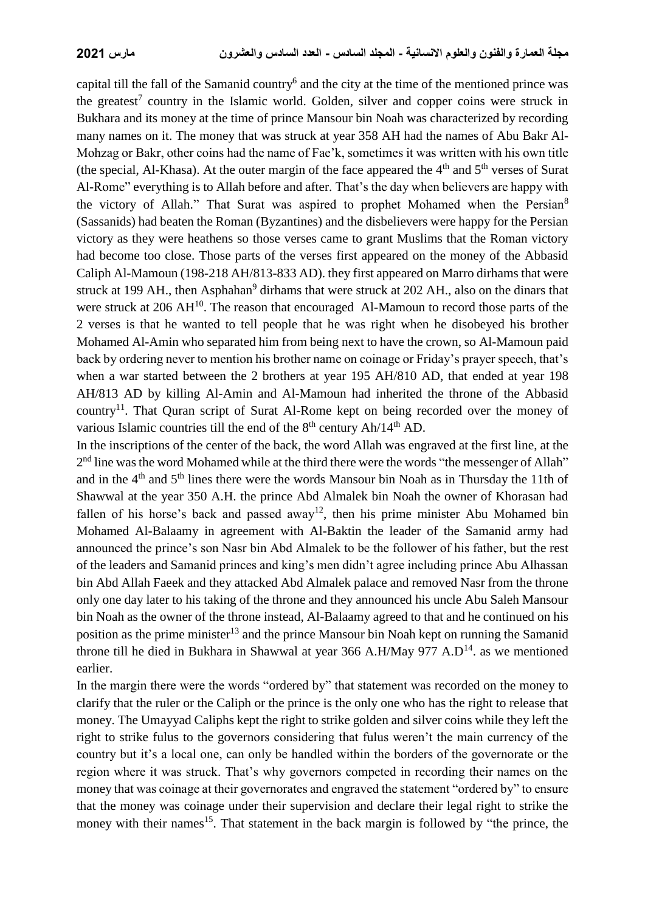capital till the fall of the Samanid country<sup>6</sup> and the city at the time of the mentioned prince was the greatest<sup>7</sup> country in the Islamic world. Golden, silver and copper coins were struck in Bukhara and its money at the time of prince Mansour bin Noah was characterized by recording many names on it. The money that was struck at year 358 AH had the names of Abu Bakr Al-Mohzag or Bakr, other coins had the name of Fae'k, sometimes it was written with his own title (the special, Al-Khasa). At the outer margin of the face appeared the  $4<sup>th</sup>$  and  $5<sup>th</sup>$  verses of Surat Al-Rome" everything is to Allah before and after. That's the day when believers are happy with the victory of Allah." That Surat was aspired to prophet Mohamed when the Persian<sup>8</sup> (Sassanids) had beaten the Roman (Byzantines) and the disbelievers were happy for the Persian victory as they were heathens so those verses came to grant Muslims that the Roman victory had become too close. Those parts of the verses first appeared on the money of the Abbasid Caliph Al-Mamoun (198-218 AH/813-833 AD). they first appeared on Marro dirhams that were struck at 199 AH., then Asphahan<sup>9</sup> dirhams that were struck at 202 AH., also on the dinars that were struck at 206  $AH^{10}$ . The reason that encouraged Al-Mamoun to record those parts of the 2 verses is that he wanted to tell people that he was right when he disobeyed his brother Mohamed Al-Amin who separated him from being next to have the crown, so Al-Mamoun paid back by ordering never to mention his brother name on coinage or Friday's prayer speech, that's when a war started between the 2 brothers at year 195 AH/810 AD, that ended at year 198 AH/813 AD by killing Al-Amin and Al-Mamoun had inherited the throne of the Abbasid country<sup>11</sup>. That Quran script of Surat Al-Rome kept on being recorded over the money of various Islamic countries till the end of the  $8<sup>th</sup>$  century Ah/14<sup>th</sup> AD.

In the inscriptions of the center of the back, the word Allah was engraved at the first line, at the 2<sup>nd</sup> line was the word Mohamed while at the third there were the words "the messenger of Allah" and in the 4<sup>th</sup> and 5<sup>th</sup> lines there were the words Mansour bin Noah as in Thursday the 11th of Shawwal at the year 350 A.H. the prince Abd Almalek bin Noah the owner of Khorasan had fallen of his horse's back and passed away<sup>12</sup>, then his prime minister Abu Mohamed bin Mohamed Al-Balaamy in agreement with Al-Baktin the leader of the Samanid army had announced the prince's son Nasr bin Abd Almalek to be the follower of his father, but the rest of the leaders and Samanid princes and king's men didn't agree including prince Abu Alhassan bin Abd Allah Faeek and they attacked Abd Almalek palace and removed Nasr from the throne only one day later to his taking of the throne and they announced his uncle Abu Saleh Mansour bin Noah as the owner of the throne instead, Al-Balaamy agreed to that and he continued on his position as the prime minister<sup>13</sup> and the prince Mansour bin Noah kept on running the Samanid throne till he died in Bukhara in Shawwal at year 366 A.H/May 977 A.D<sup>14</sup>. as we mentioned earlier.

In the margin there were the words "ordered by" that statement was recorded on the money to clarify that the ruler or the Caliph or the prince is the only one who has the right to release that money. The Umayyad Caliphs kept the right to strike golden and silver coins while they left the right to strike fulus to the governors considering that fulus weren't the main currency of the country but it's a local one, can only be handled within the borders of the governorate or the region where it was struck. That's why governors competed in recording their names on the money that was coinage at their governorates and engraved the statement "ordered by" to ensure that the money was coinage under their supervision and declare their legal right to strike the money with their names<sup>15</sup>. That statement in the back margin is followed by "the prince, the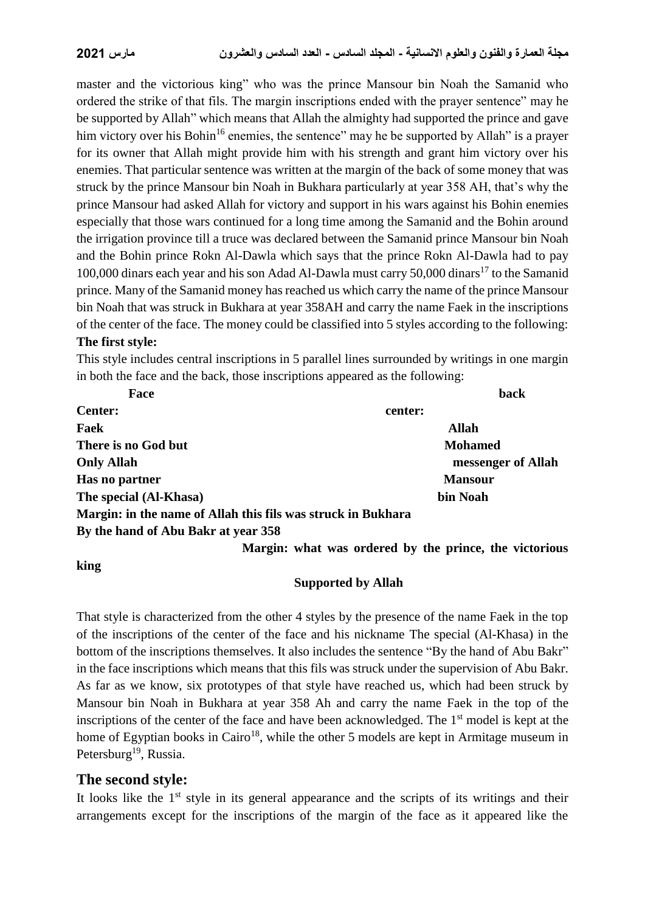master and the victorious king" who was the prince Mansour bin Noah the Samanid who ordered the strike of that fils. The margin inscriptions ended with the prayer sentence" may he be supported by Allah" which means that Allah the almighty had supported the prince and gave him victory over his Bohin<sup>16</sup> enemies, the sentence" may he be supported by Allah" is a prayer for its owner that Allah might provide him with his strength and grant him victory over his enemies. That particular sentence was written at the margin of the back of some money that was struck by the prince Mansour bin Noah in Bukhara particularly at year 358 AH, that's why the prince Mansour had asked Allah for victory and support in his wars against his Bohin enemies especially that those wars continued for a long time among the Samanid and the Bohin around the irrigation province till a truce was declared between the Samanid prince Mansour bin Noah and the Bohin prince Rokn Al-Dawla which says that the prince Rokn Al-Dawla had to pay 100,000 dinars each year and his son Adad Al-Dawla must carry 50,000 dinars<sup>17</sup> to the Samanid prince. Many of the Samanid money has reached us which carry the name of the prince Mansour bin Noah that was struck in Bukhara at year 358AH and carry the name Faek in the inscriptions of the center of the face. The money could be classified into 5 styles according to the following: **The first style:**

This style includes central inscriptions in 5 parallel lines surrounded by writings in one margin in both the face and the back, those inscriptions appeared as the following:

| Face                                                         | <b>back</b>        |
|--------------------------------------------------------------|--------------------|
| <b>Center:</b>                                               | center:            |
| Faek                                                         | <b>Allah</b>       |
| There is no God but                                          | <b>Mohamed</b>     |
| <b>Only Allah</b>                                            | messenger of Allah |
| Has no partner                                               | <b>Mansour</b>     |
| The special (Al-Khasa)                                       | bin Noah           |
| Margin: in the name of Allah this fils was struck in Bukhara |                    |
| By the hand of Abu Bakr at year 358                          |                    |

**king** 

 **Margin: what was ordered by the prince, the victorious** 

### **Supported by Allah**

That style is characterized from the other 4 styles by the presence of the name Faek in the top of the inscriptions of the center of the face and his nickname The special (Al-Khasa) in the bottom of the inscriptions themselves. It also includes the sentence "By the hand of Abu Bakr" in the face inscriptions which means that this fils was struck under the supervision of Abu Bakr. As far as we know, six prototypes of that style have reached us, which had been struck by Mansour bin Noah in Bukhara at year 358 Ah and carry the name Faek in the top of the inscriptions of the center of the face and have been acknowledged. The  $1<sup>st</sup>$  model is kept at the home of Egyptian books in Cairo<sup>18</sup>, while the other 5 models are kept in Armitage museum in Petersburg<sup>19</sup>, Russia.

### **The second style:**

It looks like the  $1<sup>st</sup>$  style in its general appearance and the scripts of its writings and their arrangements except for the inscriptions of the margin of the face as it appeared like the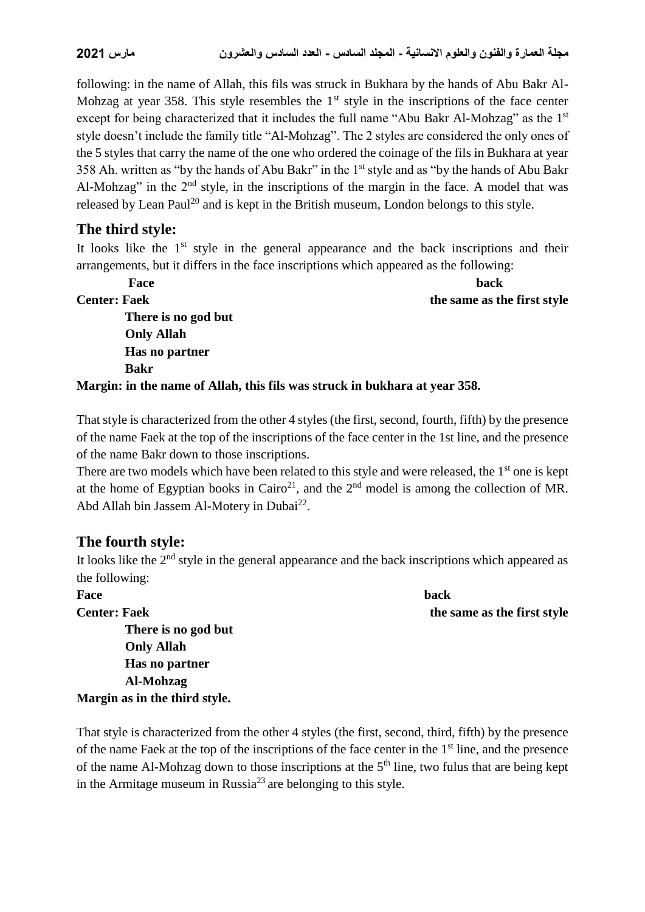following: in the name of Allah, this fils was struck in Bukhara by the hands of Abu Bakr Al-Mohzag at year 358. This style resembles the  $1<sup>st</sup>$  style in the inscriptions of the face center except for being characterized that it includes the full name "Abu Bakr Al-Mohzag" as the 1<sup>st</sup> style doesn't include the family title "Al-Mohzag". The 2 styles are considered the only ones of the 5 styles that carry the name of the one who ordered the coinage of the fils in Bukhara at year 358 Ah. written as "by the hands of Abu Bakr" in the 1<sup>st</sup> style and as "by the hands of Abu Bakr Al-Mohzag" in the 2<sup>nd</sup> style, in the inscriptions of the margin in the face. A model that was released by Lean Paul<sup>20</sup> and is kept in the British museum, London belongs to this style.

### **The third style:**

It looks like the  $1<sup>st</sup>$  style in the general appearance and the back inscriptions and their arrangements, but it differs in the face inscriptions which appeared as the following:

**Face** back **back Center: Faek the same as the first style There is no god but Only Allah Has no partner Bakr**

**Margin: in the name of Allah, this fils was struck in bukhara at year 358.**

That style is characterized from the other 4 styles (the first, second, fourth, fifth) by the presence of the name Faek at the top of the inscriptions of the face center in the 1st line, and the presence of the name Bakr down to those inscriptions.

There are two models which have been related to this style and were released, the 1<sup>st</sup> one is kept at the home of Egyptian books in Cairo<sup>21</sup>, and the  $2<sup>nd</sup>$  model is among the collection of MR. Abd Allah bin Jassem Al-Motery in Dubai<sup>22</sup>.

### **The fourth style:**

It looks like the 2<sup>nd</sup> style in the general appearance and the back inscriptions which appeared as the following:

**Face** back **back Center: Faek** the same as the first style  **There is no god but Only Allah Has no partner Al-Mohzag Margin as in the third style.** 

That style is characterized from the other 4 styles (the first, second, third, fifth) by the presence of the name Faek at the top of the inscriptions of the face center in the 1<sup>st</sup> line, and the presence of the name Al-Mohzag down to those inscriptions at the  $5<sup>th</sup>$  line, two fulus that are being kept in the Armitage museum in Russia<sup>23</sup> are belonging to this style.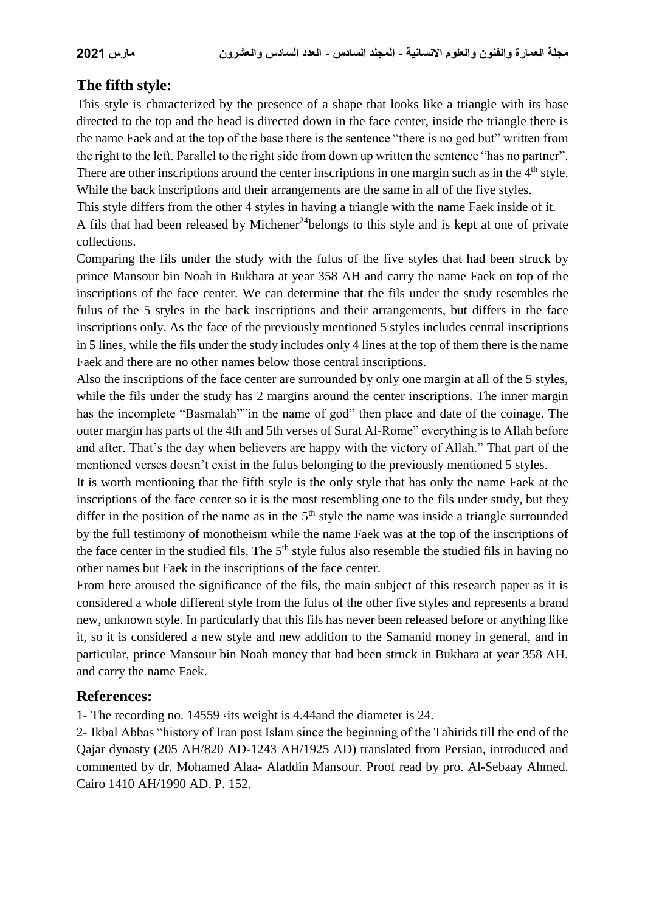## **The fifth style:**

This style is characterized by the presence of a shape that looks like a triangle with its base directed to the top and the head is directed down in the face center, inside the triangle there is the name Faek and at the top of the base there is the sentence "there is no god but" written from the right to the left. Parallel to the right side from down up written the sentence "has no partner". There are other inscriptions around the center inscriptions in one margin such as in the 4<sup>th</sup> style. While the back inscriptions and their arrangements are the same in all of the five styles.

This style differs from the other 4 styles in having a triangle with the name Faek inside of it. A fils that had been released by Michener<sup>24</sup>belongs to this style and is kept at one of private collections.

Comparing the fils under the study with the fulus of the five styles that had been struck by prince Mansour bin Noah in Bukhara at year 358 AH and carry the name Faek on top of the inscriptions of the face center. We can determine that the fils under the study resembles the fulus of the 5 styles in the back inscriptions and their arrangements, but differs in the face inscriptions only. As the face of the previously mentioned 5 styles includes central inscriptions in 5 lines, while the fils under the study includes only 4 lines at the top of them there is the name Faek and there are no other names below those central inscriptions.

Also the inscriptions of the face center are surrounded by only one margin at all of the 5 styles, while the fils under the study has 2 margins around the center inscriptions. The inner margin has the incomplete "Basmalah""in the name of god" then place and date of the coinage. The outer margin has parts of the 4th and 5th verses of Surat Al-Rome" everything is to Allah before and after. That's the day when believers are happy with the victory of Allah." That part of the mentioned verses doesn't exist in the fulus belonging to the previously mentioned 5 styles.

It is worth mentioning that the fifth style is the only style that has only the name Faek at the inscriptions of the face center so it is the most resembling one to the fils under study, but they differ in the position of the name as in the  $5<sup>th</sup>$  style the name was inside a triangle surrounded by the full testimony of monotheism while the name Faek was at the top of the inscriptions of the face center in the studied fils. The 5<sup>th</sup> style fulus also resemble the studied fils in having no other names but Faek in the inscriptions of the face center.

From here aroused the significance of the fils, the main subject of this research paper as it is considered a whole different style from the fulus of the other five styles and represents a brand new, unknown style. In particularly that this fils has never been released before or anything like it, so it is considered a new style and new addition to the Samanid money in general, and in particular, prince Mansour bin Noah money that had been struck in Bukhara at year 358 AH. and carry the name Faek.

### **References:**

1- The recording no. 14559 ،its weight is 4.44and the diameter is 24.

2- Ikbal Abbas "history of Iran post Islam since the beginning of the Tahirids till the end of the Qajar dynasty (205 AH/820 AD-1243 AH/1925 AD) translated from Persian, introduced and commented by dr. Mohamed Alaa- Aladdin Mansour. Proof read by pro. Al-Sebaay Ahmed. Cairo 1410 AH/1990 AD. P. 152.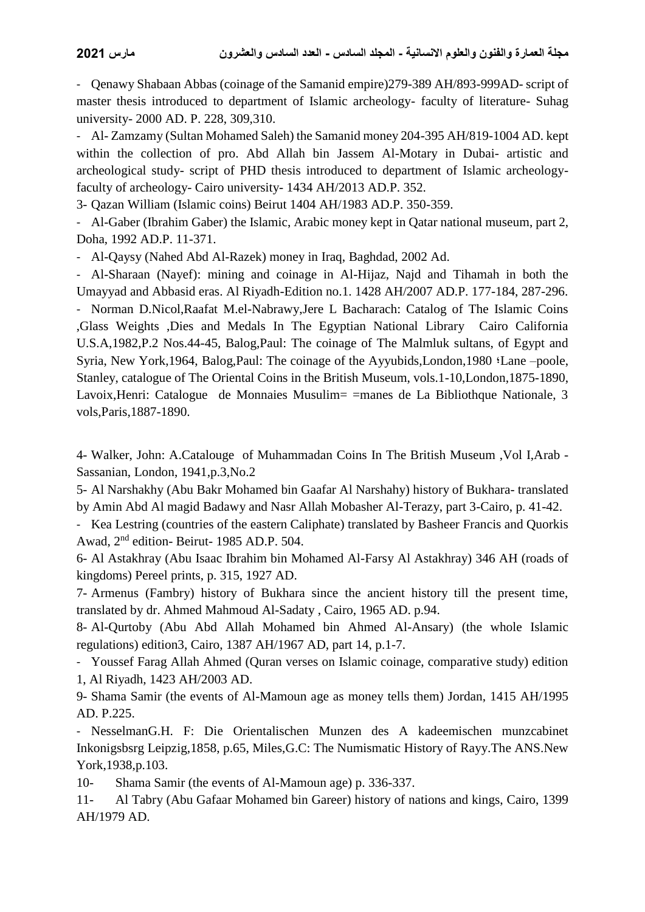- Qenawy Shabaan Abbas (coinage of the Samanid empire)279-389 AH/893-999AD- script of master thesis introduced to department of Islamic archeology- faculty of literature- Suhag university- 2000 AD. P. 228, 309,310.

- Al- Zamzamy (Sultan Mohamed Saleh) the Samanid money 204-395 AH/819-1004 AD. kept within the collection of pro. Abd Allah bin Jassem Al-Motary in Dubai- artistic and archeological study- script of PHD thesis introduced to department of Islamic archeologyfaculty of archeology- Cairo university- 1434 AH/2013 AD.P. 352.

3- Qazan William (Islamic coins) Beirut 1404 AH/1983 AD.P. 350-359.

- Al-Gaber (Ibrahim Gaber) the Islamic, Arabic money kept in Qatar national museum, part 2, Doha, 1992 AD.P. 11-371.

- Al-Qaysy (Nahed Abd Al-Razek) money in Iraq, Baghdad, 2002 Ad.

- Al-Sharaan (Nayef): mining and coinage in Al-Hijaz, Najd and Tihamah in both the Umayyad and Abbasid eras. Al Riyadh-Edition no.1. 1428 AH/2007 AD.P. 177-184, 287-296.

- Norman D.Nicol,Raafat M.el-Nabrawy,Jere L Bacharach: Catalog of The Islamic Coins ,Glass Weights ,Dies and Medals In The Egyptian National Library Cairo California U.S.A,1982,P.2 Nos.44-45, Balog,Paul: The coinage of The Malmluk sultans, of Egypt and Syria, New York,1964, Balog,Paul: The coinage of the Ayyubids,London,1980 ؛Lane –poole, Stanley, catalogue of The Oriental Coins in the British Museum, vols.1-10,London,1875-1890, Lavoix,Henri: Catalogue de Monnaies Musulim= =manes de La Bibliothque Nationale, 3 vols,Paris,1887-1890.

4- Walker, John: A.Catalouge of Muhammadan Coins In The British Museum ,Vol I,Arab - Sassanian, London, 1941,p.3,No.2

5- Al Narshakhy (Abu Bakr Mohamed bin Gaafar Al Narshahy) history of Bukhara- translated by Amin Abd Al magid Badawy and Nasr Allah Mobasher Al-Terazy, part 3-Cairo, p. 41-42.

- Kea Lestring (countries of the eastern Caliphate) translated by Basheer Francis and Quorkis Awad, 2nd edition- Beirut- 1985 AD.P. 504.

6- Al Astakhray (Abu Isaac Ibrahim bin Mohamed Al-Farsy Al Astakhray) 346 AH (roads of kingdoms) Pereel prints, p. 315, 1927 AD.

7- Armenus (Fambry) history of Bukhara since the ancient history till the present time, translated by dr. Ahmed Mahmoud Al-Sadaty , Cairo, 1965 AD. p.94.

8- Al-Qurtoby (Abu Abd Allah Mohamed bin Ahmed Al-Ansary) (the whole Islamic regulations) edition3, Cairo, 1387 AH/1967 AD, part 14, p.1-7.

- Youssef Farag Allah Ahmed (Quran verses on Islamic coinage, comparative study) edition 1, Al Riyadh, 1423 AH/2003 AD.

9- Shama Samir (the events of Al-Mamoun age as money tells them) Jordan, 1415 AH/1995 AD. P.225.

- NesselmanG.H. F: Die Orientalischen Munzen des A kadeemischen munzcabinet Inkonigsbsrg Leipzig,1858, p.65, Miles,G.C: The Numismatic History of Rayy.The ANS.New York,1938,p.103.

10- Shama Samir (the events of Al-Mamoun age) p. 336-337.

11- Al Tabry (Abu Gafaar Mohamed bin Gareer) history of nations and kings, Cairo, 1399 AH/1979 AD.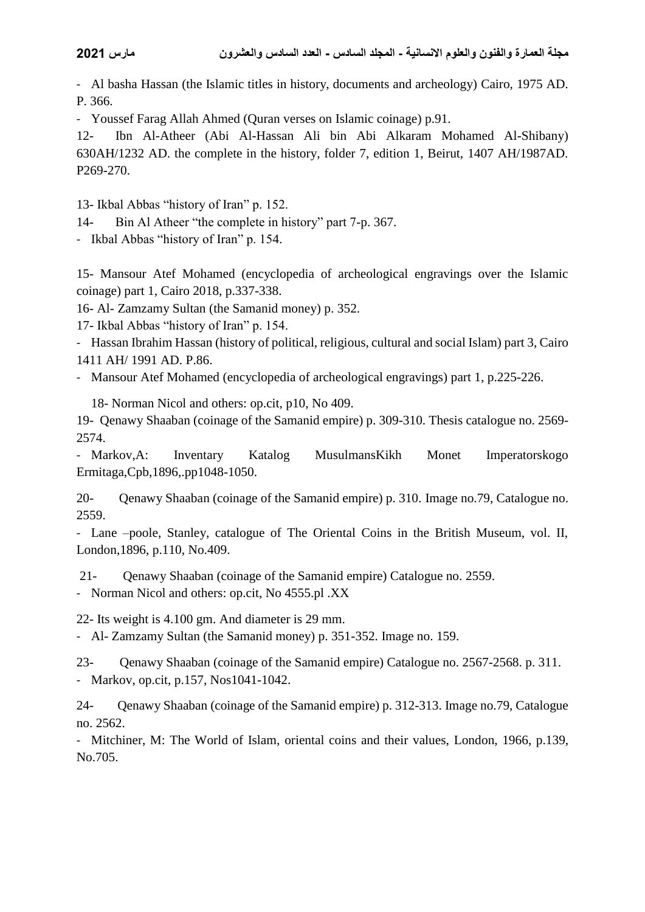- Al basha Hassan (the Islamic titles in history, documents and archeology) Cairo, 1975 AD. P. 366.

- Youssef Farag Allah Ahmed (Quran verses on Islamic coinage) p.91.

12- Ibn Al-Atheer (Abi Al-Hassan Ali bin Abi Alkaram Mohamed Al-Shibany) 630AH/1232 AD. the complete in the history, folder 7, edition 1, Beirut, 1407 AH/1987AD. P269-270.

13- Ikbal Abbas "history of Iran" p. 152.

14- Bin Al Atheer "the complete in history" part 7-p. 367.

- Ikbal Abbas "history of Iran" p. 154.

15- Mansour Atef Mohamed (encyclopedia of archeological engravings over the Islamic coinage) part 1, Cairo 2018, p.337-338.

16- Al- Zamzamy Sultan (the Samanid money) p. 352.

17- Ikbal Abbas "history of Iran" p. 154.

- Hassan Ibrahim Hassan (history of political, religious, cultural and social Islam) part 3, Cairo 1411 AH/ 1991 AD. P.86.

- Mansour Atef Mohamed (encyclopedia of archeological engravings) part 1, p.225-226.

18- Norman Nicol and others: op.cit, p10, No 409.

19- Qenawy Shaaban (coinage of the Samanid empire) p. 309-310. Thesis catalogue no. 2569- 2574.

- Markov,A: Inventary Katalog MusulmansKikh Monet Imperatorskogo Ermitaga,Cpb,1896,.pp1048-1050.

20- Qenawy Shaaban (coinage of the Samanid empire) p. 310. Image no.79, Catalogue no. 2559.

- Lane –poole, Stanley, catalogue of The Oriental Coins in the British Museum, vol. II, London,1896, p.110, No.409.

21- Qenawy Shaaban (coinage of the Samanid empire) Catalogue no. 2559.

- Norman Nicol and others: op.cit, No 4555.pl .XX

22- Its weight is 4.100 gm. And diameter is 29 mm.

- Al- Zamzamy Sultan (the Samanid money) p. 351-352. Image no. 159.

23- Qenawy Shaaban (coinage of the Samanid empire) Catalogue no. 2567-2568. p. 311. - Markov, op.cit, p.157, Nos1041-1042.

24- Qenawy Shaaban (coinage of the Samanid empire) p. 312-313. Image no.79, Catalogue no. 2562.

- Mitchiner, M: The World of Islam, oriental coins and their values, London, 1966, p.139, No.705.